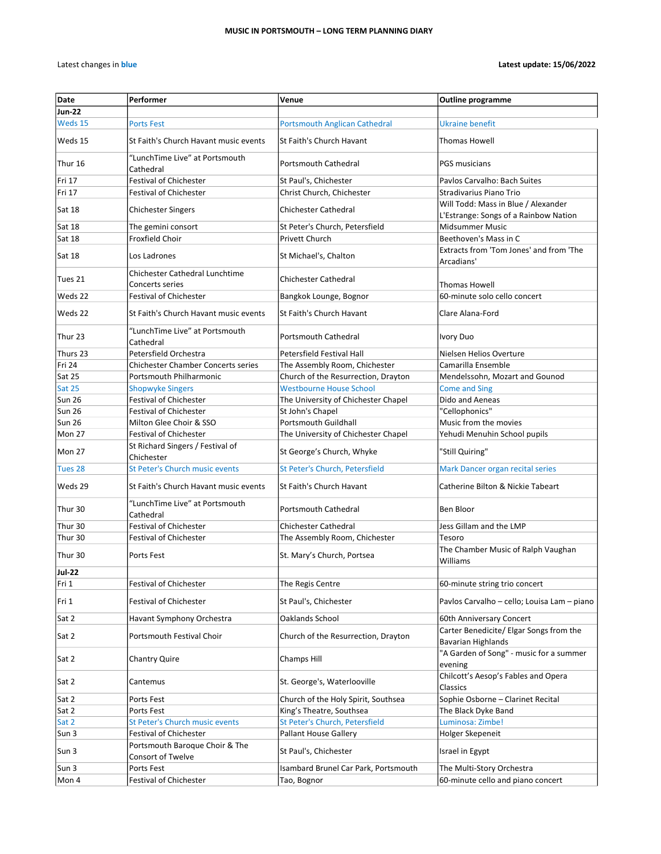| Date             | Performer                                                                       | Venue                                                            | <b>Outline programme</b>                                                     |
|------------------|---------------------------------------------------------------------------------|------------------------------------------------------------------|------------------------------------------------------------------------------|
| Jun-22           |                                                                                 |                                                                  |                                                                              |
| Weds 15          | <b>Ports Fest</b>                                                               | <b>Portsmouth Anglican Cathedral</b>                             | <b>Ukraine benefit</b>                                                       |
| Weds 15          | St Faith's Church Havant music events                                           | St Faith's Church Havant                                         | <b>Thomas Howell</b>                                                         |
| Thur 16          | "LunchTime Live" at Portsmouth<br>Cathedral                                     | Portsmouth Cathedral                                             | <b>PGS musicians</b>                                                         |
| Fri 17           | <b>Festival of Chichester</b>                                                   | St Paul's, Chichester                                            | Paylos Carvalho: Bach Suites                                                 |
| Fri 17           | <b>Festival of Chichester</b>                                                   | Christ Church, Chichester                                        | Stradivarius Piano Trio                                                      |
| Sat 18           | <b>Chichester Singers</b>                                                       | <b>Chichester Cathedral</b>                                      | Will Todd: Mass in Blue / Alexander<br>L'Estrange: Songs of a Rainbow Nation |
| Sat 18           | The gemini consort                                                              | St Peter's Church, Petersfield                                   | <b>Midsummer Music</b>                                                       |
| Sat 18           | Froxfield Choir                                                                 | Privett Church                                                   | Beethoven's Mass in C                                                        |
| Sat 18           | Los Ladrones                                                                    | St Michael's, Chalton                                            | Extracts from 'Tom Jones' and from 'The<br>Arcadians'                        |
| Tues 21          | Chichester Cathedral Lunchtime<br>Concerts series                               | <b>Chichester Cathedral</b>                                      | <b>Thomas Howell</b>                                                         |
| Weds 22          | <b>Festival of Chichester</b>                                                   | Bangkok Lounge, Bognor                                           | 60-minute solo cello concert                                                 |
| Weds 22          | St Faith's Church Havant music events                                           | St Faith's Church Havant                                         | Clare Alana-Ford                                                             |
| Thur 23          | "LunchTime Live" at Portsmouth<br>Cathedral                                     | Portsmouth Cathedral                                             | <b>Ivory Duo</b>                                                             |
| Thurs 23         | Petersfield Orchestra                                                           | Petersfield Festival Hall                                        | Nielsen Helios Overture                                                      |
| Fri 24           | <b>Chichester Chamber Concerts series</b>                                       | The Assembly Room, Chichester                                    | Camarilla Ensemble                                                           |
| Sat 25           | Portsmouth Philharmonic                                                         | Church of the Resurrection, Drayton                              | Mendelssohn, Mozart and Gounod                                               |
| <b>Sat 25</b>    | <b>Shopwyke Singers</b>                                                         | <b>Westbourne House School</b>                                   | <b>Come and Sing</b>                                                         |
| Sun 26           | <b>Festival of Chichester</b>                                                   | The University of Chichester Chapel                              | Dido and Aeneas                                                              |
| Sun 26           | <b>Festival of Chichester</b>                                                   | St John's Chapel                                                 | "Cellophonics"                                                               |
| Sun 26           | Milton Glee Choir & SSO                                                         | <b>Portsmouth Guildhall</b>                                      | Music from the movies                                                        |
| Mon 27<br>Mon 27 | <b>Festival of Chichester</b><br>St Richard Singers / Festival of<br>Chichester | The University of Chichester Chapel<br>St George's Church, Whyke | Yehudi Menuhin School pupils<br>"Still Quiring"                              |
| Tues 28          | <b>St Peter's Church music events</b>                                           | St Peter's Church, Petersfield                                   | Mark Dancer organ recital series                                             |
| Weds 29          | St Faith's Church Havant music events                                           | St Faith's Church Havant                                         | Catherine Bilton & Nickie Tabeart                                            |
| Thur 30          | "LunchTime Live" at Portsmouth<br>Cathedral                                     | <b>Portsmouth Cathedral</b>                                      | Ben Bloor                                                                    |
| Thur 30          | <b>Festival of Chichester</b>                                                   | <b>Chichester Cathedral</b>                                      | Jess Gillam and the LMP                                                      |
| Thur 30          | <b>Festival of Chichester</b>                                                   | The Assembly Room, Chichester                                    | Tesoro                                                                       |
| Thur 30          | Ports Fest                                                                      | St. Mary's Church, Portsea                                       | The Chamber Music of Ralph Vaughan<br>Williams                               |
| <b>Jul-22</b>    |                                                                                 |                                                                  |                                                                              |
| Fri 1            | <b>Festival of Chichester</b>                                                   | The Regis Centre                                                 | 60-minute string trio concert                                                |
| Fri 1            | <b>Festival of Chichester</b>                                                   | St Paul's, Chichester                                            | Pavlos Carvalho - cello; Louisa Lam - piano                                  |
| Sat 2            | Havant Symphony Orchestra                                                       | Oaklands School                                                  | 60th Anniversary Concert                                                     |
| Sat 2            | Portsmouth Festival Choir                                                       | Church of the Resurrection, Drayton                              | Carter Benedicite/ Elgar Songs from the<br><b>Bavarian Highlands</b>         |
| Sat 2            | Chantry Quire                                                                   | Champs Hill                                                      | "A Garden of Song" - music for a summer<br>evening                           |
| Sat 2            | Cantemus                                                                        | St. George's, Waterlooville                                      | Chilcott's Aesop's Fables and Opera<br>Classics                              |
| Sat 2            | Ports Fest                                                                      | Church of the Holy Spirit, Southsea                              | Sophie Osborne - Clarinet Recital                                            |
| Sat 2            | Ports Fest                                                                      | King's Theatre, Southsea                                         | The Black Dyke Band                                                          |
| Sat 2            | St Peter's Church music events                                                  | St Peter's Church, Petersfield                                   | Luminosa: Zimbe!                                                             |
| Sun 3            | Festival of Chichester                                                          | <b>Pallant House Gallery</b>                                     | Holger Skepeneit                                                             |
| Sun 3            | Portsmouth Baroque Choir & The<br>Consort of Twelve                             | St Paul's, Chichester                                            | Israel in Egypt                                                              |
| Sun 3            | Ports Fest                                                                      | Isambard Brunel Car Park, Portsmouth                             | The Multi-Story Orchestra                                                    |
| Mon 4            | Festival of Chichester                                                          | Tao, Bognor                                                      | 60-minute cello and piano concert                                            |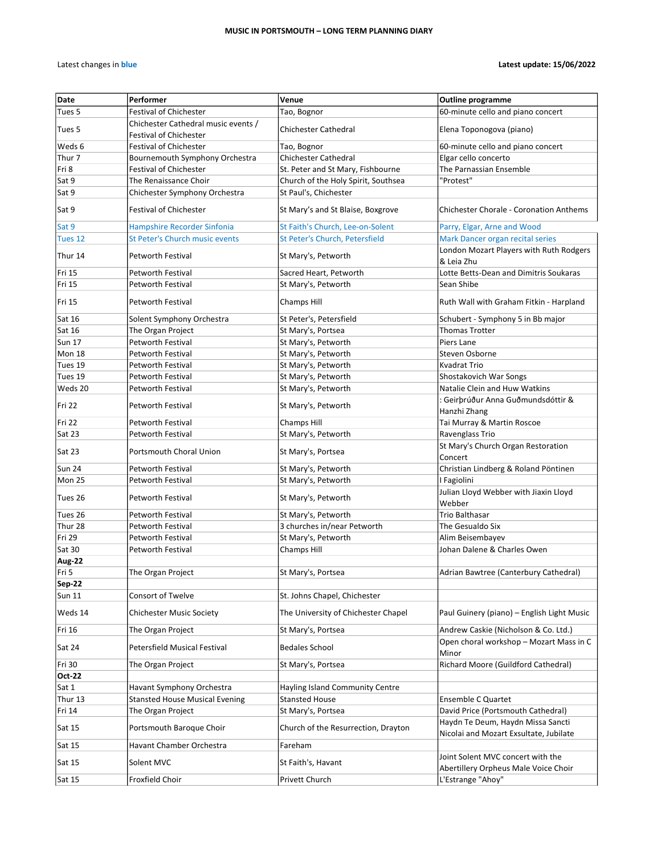| Date          | Performer                                                            | Venue                                                              | <b>Outline programme</b>                                                    |
|---------------|----------------------------------------------------------------------|--------------------------------------------------------------------|-----------------------------------------------------------------------------|
| Tues 5        | <b>Festival of Chichester</b>                                        | Tao, Bognor                                                        | 60-minute cello and piano concert                                           |
| Tues 5        | Chichester Cathedral music events /                                  | <b>Chichester Cathedral</b>                                        | Elena Toponogova (piano)                                                    |
| Weds 6        | <b>Festival of Chichester</b><br><b>Festival of Chichester</b>       | Tao, Bognor                                                        | 60-minute cello and piano concert                                           |
| Thur 7        | Bournemouth Symphony Orchestra                                       | <b>Chichester Cathedral</b>                                        | Elgar cello concerto                                                        |
| Fri 8         | <b>Festival of Chichester</b>                                        | St. Peter and St Mary, Fishbourne                                  | The Parnassian Ensemble                                                     |
| Sat 9         | The Renaissance Choir                                                | Church of the Holy Spirit, Southsea                                | 'Protest"                                                                   |
| Sat 9         | Chichester Symphony Orchestra                                        | St Paul's, Chichester                                              |                                                                             |
| Sat 9         | <b>Festival of Chichester</b>                                        | St Mary's and St Blaise, Boxgrove                                  | <b>Chichester Chorale - Coronation Anthems</b>                              |
| Sat 9         |                                                                      |                                                                    |                                                                             |
|               | Hampshire Recorder Sinfonia<br><b>St Peter's Church music events</b> | St Faith's Church, Lee-on-Solent<br>St Peter's Church, Petersfield | Parry, Elgar, Arne and Wood                                                 |
| Tues 12       |                                                                      |                                                                    | Mark Dancer organ recital series                                            |
| Thur 14       | <b>Petworth Festival</b>                                             | St Mary's, Petworth                                                | London Mozart Players with Ruth Rodgers<br>& Leia Zhu                       |
| Fri 15        | Petworth Festival                                                    | Sacred Heart, Petworth                                             | Lotte Betts-Dean and Dimitris Soukaras                                      |
| Fri 15        | Petworth Festival                                                    | St Mary's, Petworth                                                | Sean Shibe                                                                  |
| Fri 15        | Petworth Festival                                                    | Champs Hill                                                        | Ruth Wall with Graham Fitkin - Harpland                                     |
| Sat 16        | Solent Symphony Orchestra                                            | St Peter's, Petersfield                                            | Schubert - Symphony 5 in Bb major                                           |
| Sat 16        | The Organ Project                                                    | St Mary's, Portsea                                                 | <b>Thomas Trotter</b>                                                       |
| <b>Sun 17</b> | Petworth Festival                                                    | St Mary's, Petworth                                                | Piers Lane                                                                  |
| Mon 18        | Petworth Festival                                                    | St Mary's, Petworth                                                | Steven Osborne                                                              |
| Tues 19       | Petworth Festival                                                    | St Mary's, Petworth                                                | Kvadrat Trio                                                                |
| Tues 19       | <b>Petworth Festival</b>                                             | St Mary's, Petworth                                                | Shostakovich War Songs                                                      |
| Weds 20       | Petworth Festival                                                    | St Mary's, Petworth                                                | Natalie Clein and Huw Watkins                                               |
| Fri 22        | Petworth Festival                                                    | St Mary's, Petworth                                                | : Geirþrúður Anna Guðmundsdóttir &<br>Hanzhi Zhang                          |
| Fri 22        | Petworth Festival                                                    | Champs Hill                                                        | Tai Murray & Martin Roscoe                                                  |
| Sat 23        | Petworth Festival                                                    | St Mary's, Petworth                                                | Ravenglass Trio                                                             |
| Sat 23        | Portsmouth Choral Union                                              | St Mary's, Portsea                                                 | St Mary's Church Organ Restoration<br>Concert                               |
| Sun 24        | Petworth Festival                                                    | St Mary's, Petworth                                                | Christian Lindberg & Roland Pöntinen                                        |
| Mon 25        | Petworth Festival                                                    | St Mary's, Petworth                                                | I Fagiolini                                                                 |
|               |                                                                      |                                                                    | Julian Lloyd Webber with Jiaxin Lloyd                                       |
| Tues 26       | Petworth Festival                                                    | St Mary's, Petworth                                                | Webber                                                                      |
| Tues 26       | Petworth Festival                                                    | St Mary's, Petworth                                                | <b>Trio Balthasar</b>                                                       |
| Thur 28       | Petworth Festival                                                    | 3 churches in/near Petworth                                        | The Gesualdo Six                                                            |
| Fri 29        | Petworth Festival                                                    | St Mary's, Petworth                                                | Alim Beisembayev                                                            |
| Sat 30        | Petworth Festival                                                    | Champs Hill                                                        | Johan Dalene & Charles Owen                                                 |
| Aug-22        |                                                                      |                                                                    |                                                                             |
| lFri 5        | The Organ Project                                                    | St Mary's, Portsea                                                 | Adrian Bawtree (Canterbury Cathedral)                                       |
| Sep-22        |                                                                      |                                                                    |                                                                             |
| <b>Sun 11</b> | Consort of Twelve                                                    | St. Johns Chapel, Chichester                                       |                                                                             |
| Weds 14       | <b>Chichester Music Society</b>                                      | The University of Chichester Chapel                                | Paul Guinery (piano) - English Light Music                                  |
| Fri 16        | The Organ Project                                                    | St Mary's, Portsea                                                 | Andrew Caskie (Nicholson & Co. Ltd.)                                        |
| Sat 24        | <b>Petersfield Musical Festival</b>                                  | <b>Bedales School</b>                                              | Open choral workshop - Mozart Mass in C<br>Minor                            |
| Fri 30        | The Organ Project                                                    | St Mary's, Portsea                                                 | Richard Moore (Guildford Cathedral)                                         |
| Oct-22        |                                                                      |                                                                    |                                                                             |
| Sat 1         | Havant Symphony Orchestra                                            | <b>Hayling Island Community Centre</b>                             |                                                                             |
| Thur 13       | <b>Stansted House Musical Evening</b>                                | <b>Stansted House</b>                                              | <b>Ensemble C Quartet</b>                                                   |
| Fri 14        | The Organ Project                                                    | St Mary's, Portsea                                                 | David Price (Portsmouth Cathedral)                                          |
| Sat 15        | Portsmouth Baroque Choir                                             | Church of the Resurrection, Drayton                                | Haydn Te Deum, Haydn Missa Sancti<br>Nicolai and Mozart Exsultate, Jubilate |
| Sat 15        | Havant Chamber Orchestra                                             | Fareham                                                            |                                                                             |
| Sat 15        | Solent MVC                                                           | St Faith's, Havant                                                 | Joint Solent MVC concert with the<br>Abertillery Orpheus Male Voice Choir   |
| Sat 15        | Froxfield Choir                                                      | Privett Church                                                     | L'Estrange "Ahoy"                                                           |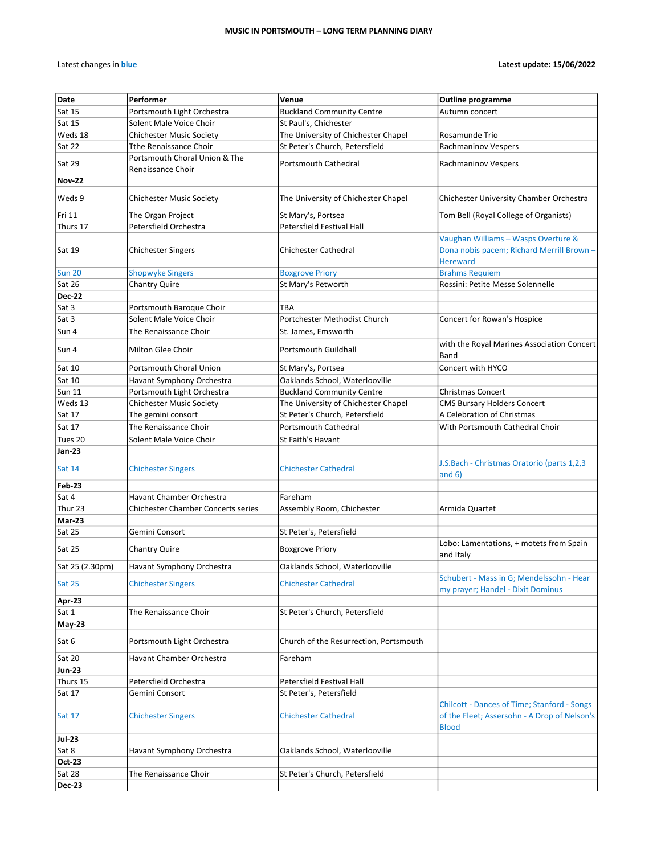| Date               | Performer                                          | Venue                                  | <b>Outline programme</b>                                                                                           |
|--------------------|----------------------------------------------------|----------------------------------------|--------------------------------------------------------------------------------------------------------------------|
| Sat 15             | Portsmouth Light Orchestra                         | <b>Buckland Community Centre</b>       | Autumn concert                                                                                                     |
| Sat 15             | Solent Male Voice Choir                            | St Paul's, Chichester                  |                                                                                                                    |
| Weds 18            | Chichester Music Society                           | The University of Chichester Chapel    | Rosamunde Trio                                                                                                     |
| Sat 22             | <b>Tthe Renaissance Choir</b>                      | St Peter's Church, Petersfield         | Rachmaninov Vespers                                                                                                |
| Sat 29             | Portsmouth Choral Union & The<br>Renaissance Choir | Portsmouth Cathedral                   | Rachmaninov Vespers                                                                                                |
| <b>Nov-22</b>      |                                                    |                                        |                                                                                                                    |
|                    |                                                    |                                        |                                                                                                                    |
| Weds 9             | <b>Chichester Music Society</b>                    | The University of Chichester Chapel    | Chichester University Chamber Orchestra                                                                            |
| Fri 11             | The Organ Project                                  | St Mary's, Portsea                     | Tom Bell (Royal College of Organists)                                                                              |
| Thurs 17           | Petersfield Orchestra                              | Petersfield Festival Hall              |                                                                                                                    |
| Sat 19             | <b>Chichester Singers</b>                          | <b>Chichester Cathedral</b>            | Vaughan Williams - Wasps Overture &<br>Dona nobis pacem; Richard Merrill Brown -<br><b>Hereward</b>                |
| <b>Sun 20</b>      | <b>Shopwyke Singers</b>                            | <b>Boxgrove Priory</b>                 | <b>Brahms Requiem</b>                                                                                              |
| Sat 26             | <b>Chantry Quire</b>                               | St Mary's Petworth                     | Rossini: Petite Messe Solennelle                                                                                   |
| <b>Dec-22</b>      |                                                    |                                        |                                                                                                                    |
| Sat 3              | Portsmouth Baroque Choir                           | <b>TBA</b>                             |                                                                                                                    |
| Sat 3              | Solent Male Voice Choir                            | Portchester Methodist Church           | Concert for Rowan's Hospice                                                                                        |
| Sun 4              | The Renaissance Choir                              | St. James, Emsworth                    |                                                                                                                    |
| Sun 4              | Milton Glee Choir                                  | Portsmouth Guildhall                   | with the Royal Marines Association Concert<br>Band                                                                 |
| Sat 10             | Portsmouth Choral Union                            | St Mary's, Portsea                     | Concert with HYCO                                                                                                  |
| Sat 10             | Havant Symphony Orchestra                          | Oaklands School, Waterlooville         |                                                                                                                    |
| <b>Sun 11</b>      | Portsmouth Light Orchestra                         | <b>Buckland Community Centre</b>       | <b>Christmas Concert</b>                                                                                           |
| Weds 13            | <b>Chichester Music Society</b>                    | The University of Chichester Chapel    | <b>CMS Bursary Holders Concert</b>                                                                                 |
| Sat 17             | The gemini consort                                 | St Peter's Church, Petersfield         | A Celebration of Christmas                                                                                         |
| Sat 17             | The Renaissance Choir                              | <b>Portsmouth Cathedral</b>            | With Portsmouth Cathedral Choir                                                                                    |
| Tues 20            | Solent Male Voice Choir                            | St Faith's Havant                      |                                                                                                                    |
| Jan-23             |                                                    |                                        |                                                                                                                    |
| Sat 14             | <b>Chichester Singers</b>                          | <b>Chichester Cathedral</b>            | J.S.Bach - Christmas Oratorio (parts 1,2,3<br>and $6)$                                                             |
| Feb-23<br>Sat 4    | Havant Chamber Orchestra                           | Fareham                                |                                                                                                                    |
| Thur <sub>23</sub> | <b>Chichester Chamber Concerts series</b>          | Assembly Room, Chichester              | Armida Quartet                                                                                                     |
| Mar-23             |                                                    |                                        |                                                                                                                    |
| Sat 25             | Gemini Consort                                     | St Peter's, Petersfield                |                                                                                                                    |
| Sat 25             | <b>Chantry Quire</b>                               | <b>Boxgrove Priory</b>                 | Lobo: Lamentations, + motets from Spain<br>and Italy                                                               |
| Sat 25 (2.30pm)    | Havant Symphony Orchestra                          | Oaklands School, Waterlooville         |                                                                                                                    |
| Sat 25             | <b>Chichester Singers</b>                          | <b>Chichester Cathedral</b>            | Schubert - Mass in G; Mendelssohn - Hear<br>my prayer; Handel - Dixit Dominus                                      |
| Apr-23             |                                                    |                                        |                                                                                                                    |
| Sat 1              | The Renaissance Choir                              | St Peter's Church, Petersfield         |                                                                                                                    |
| <b>May-23</b>      |                                                    |                                        |                                                                                                                    |
| Sat 6              | Portsmouth Light Orchestra                         | Church of the Resurrection, Portsmouth |                                                                                                                    |
| Sat 20             | Havant Chamber Orchestra                           | Fareham                                |                                                                                                                    |
| Jun-23             |                                                    |                                        |                                                                                                                    |
| Thurs 15           | Petersfield Orchestra                              | Petersfield Festival Hall              |                                                                                                                    |
| Sat 17             | Gemini Consort                                     | St Peter's, Petersfield                |                                                                                                                    |
| <b>Sat 17</b>      | <b>Chichester Singers</b>                          | <b>Chichester Cathedral</b>            | <b>Chilcott - Dances of Time; Stanford - Songs</b><br>of the Fleet; Assersohn - A Drop of Nelson's<br><b>Blood</b> |
| Jul-23             |                                                    |                                        |                                                                                                                    |
| Sat 8              | Havant Symphony Orchestra                          | Oaklands School, Waterlooville         |                                                                                                                    |
| Oct-23             |                                                    |                                        |                                                                                                                    |
| Sat 28             | The Renaissance Choir                              | St Peter's Church, Petersfield         |                                                                                                                    |
| <b>Dec-23</b>      |                                                    |                                        |                                                                                                                    |